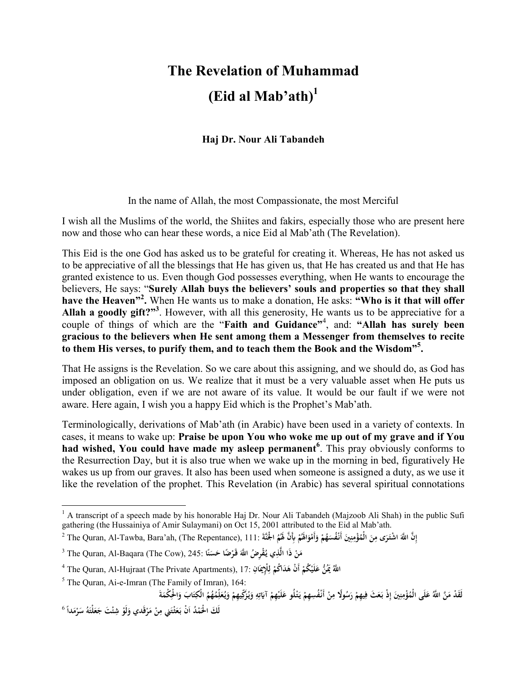## **The Revelation of Muhammad (Eid al Mab'ath)<sup>1</sup>**

**Haj Dr. Nour Ali Tabandeh** 

In the name of Allah, the most Compassionate, the most Merciful

I wish all the Muslims of the world, the Shiites and fakirs, especially those who are present here now and those who can hear these words, a nice Eid al Mab'ath (The Revelation).

This Eid is the one God has asked us to be grateful for creating it. Whereas, He has not asked us to be appreciative of all the blessings that He has given us, that He has created us and that He has granted existence to us. Even though God possesses everything, when He wants to encourage the believers, He says: "**Surely Allah buys the believers' souls and properties so that they shall have the Heaven"<sup>2</sup> .** When He wants us to make a donation, He asks: **"Who is it that will offer Allah a goodly gift?"<sup>3</sup>** . However, with all this generosity, He wants us to be appreciative for a couple of things of which are the "**Faith and Guidance"**<sup>4</sup> , and: **"Allah has surely been gracious to the believers when He sent among them a Messenger from themselves to recite to them His verses, to purify them, and to teach them the Book and the Wisdom"<sup>5</sup> .** 

That He assigns is the Revelation. So we care about this assigning, and we should do, as God has imposed an obligation on us. We realize that it must be a very valuable asset when He puts us under obligation, even if we are not aware of its value. It would be our fault if we were not aware. Here again, I wish you a happy Eid which is the Prophet's Mab'ath.

Terminologically, derivations of Mab'ath (in Arabic) have been used in a variety of contexts. In cases, it means to wake up: **Praise be upon You who woke me up out of my grave and if You had wished, You could have made my asleep permanent<sup>6</sup>** . This pray obviously conforms to the Resurrection Day, but it is also true when we wake up in the morning in bed, figuratively He wakes us up from our graves. It also has been used when someone is assigned a duty, as we use it like the revelation of the prophet. This Revelation (in Arabic) has several spiritual connotations

<sup>&</sup>lt;u>.</u>  $1 A$  transcript of a speech made by his honorable Haj Dr. Nour Ali Tabandeh (Majzoob Ali Shah) in the public Sufi gathering (the Hussainiya of Amir Sulaymani) on Oct 15, 2001 attributed to the Eid al Mab'ath.

 $^2$  The Quran, Al-Tawba, Bara'ah, (The Repentance), 111: أَنَّقُمْ الْجُنَّةَ إِذَّا لَهُ أَهْوَاظُمْ بِأَنَّ لَهُمُ الْجُنَّةَ إِذَا $^2$  (The Quran, Al-Tawba, Bara'ah, (The Repentance), 111: أَنَّقُمْ الْجَمَعُمْ وَأَم **ْ َ ِ ِ َ ِ َ ْ َ َ**

<sup>3</sup> The Quran, Al-Baqara (The Cow), 245: **ا ن َس ْ ًضا ح َقـر ُض َّ اَ ْقِر ُ َّذِي يـ ذَا ال َن م ً َ ْ**

اللَّهُ يَمْنُ عَلَيْكُمْ أَنْ هَدَاكُمْ لِلْإِيمَانِ :17 The Quran, Al-Hujraat (The Private Apartments), 17 آ **َ ِ ل ْ ْ ْ َ**

<sup>5</sup> The Quran, Ai-e-Imran (The Family of Imran), 164:

لَقَدْ مَنَّ اللَّهُ عَلَى الْمُؤْمِنِينَ إِذْ بَعَثَ فِيهِمْ رَسُولًا مِنْ أَنْفُسِهِمْ يَتْلُو عَلَيْهِمْ آيَاتِهِ وَيُزَكِّيهِمْ وَيُعَلِّمُهُمُ الْكِتَابَ وَالْحِكْمَةَ **َ ِ ِ ت َ ْ ْ َ ْ َ ْ ْ ِ ْ ِ َ ِ ِ ِ َ َ َ َ ِ َ َ ْ**

لَكَ الْحُمْدُ اَنْْ بَعَثْتَنِي مِنْ مَرْقَدي وَلَوْ شِئْتَ جَعَلْتَهُ سَرْمَداً <sup>6</sup> **ْ َ ْ ِ ْ َ َ ْ َ َ َ َ َ**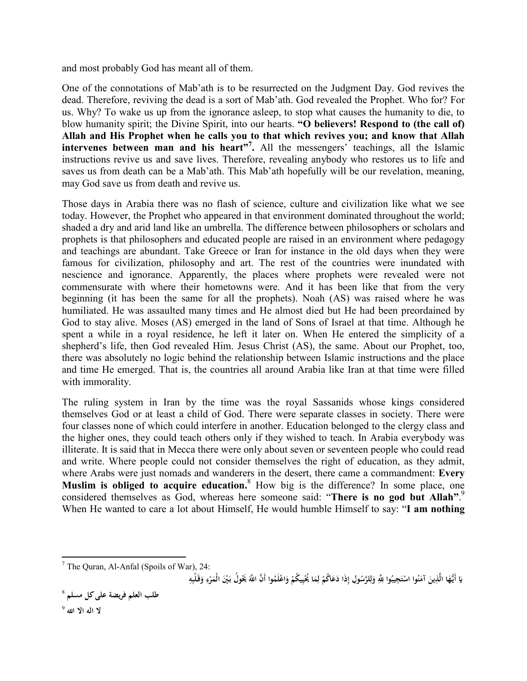and most probably God has meant all of them.

One of the connotations of Mab'ath is to be resurrected on the Judgment Day. God revives the dead. Therefore, reviving the dead is a sort of Mab'ath. God revealed the Prophet. Who for? For us. Why? To wake us up from the ignorance asleep, to stop what causes the humanity to die, to blow humanity spirit; the Divine Spirit, into our hearts. **"O believers! Respond to (the call of) Allah and His Prophet when he calls you to that which revives you; and know that Allah intervenes between man and his heart"<sup>7</sup> .** All the messengers' teachings, all the Islamic instructions revive us and save lives. Therefore, revealing anybody who restores us to life and saves us from death can be a Mab'ath. This Mab'ath hopefully will be our revelation, meaning, may God save us from death and revive us.

Those days in Arabia there was no flash of science, culture and civilization like what we see today. However, the Prophet who appeared in that environment dominated throughout the world; shaded a dry and arid land like an umbrella. The difference between philosophers or scholars and prophets is that philosophers and educated people are raised in an environment where pedagogy and teachings are abundant. Take Greece or Iran for instance in the old days when they were famous for civilization, philosophy and art. The rest of the countries were inundated with nescience and ignorance. Apparently, the places where prophets were revealed were not commensurate with where their hometowns were. And it has been like that from the very beginning (it has been the same for all the prophets). Noah (AS) was raised where he was humiliated. He was assaulted many times and He almost died but He had been preordained by God to stay alive. Moses (AS) emerged in the land of Sons of Israel at that time. Although he spent a while in a royal residence, he left it later on. When He entered the simplicity of a shepherd's life, then God revealed Him. Jesus Christ (AS), the same. About our Prophet, too, there was absolutely no logic behind the relationship between Islamic instructions and the place and time He emerged. That is, the countries all around Arabia like Iran at that time were filled with immorality.

The ruling system in Iran by the time was the royal Sassanids whose kings considered themselves God or at least a child of God. There were separate classes in society. There were four classes none of which could interfere in another. Education belonged to the clergy class and the higher ones, they could teach others only if they wished to teach. In Arabia everybody was illiterate. It is said that in Mecca there were only about seven or seventeen people who could read and write. Where people could not consider themselves the right of education, as they admit, where Arabs were just nomads and wanderers in the desert, there came a commandment: **Every Muslim is obliged to acquire education.**<sup>8</sup> How big is the difference? In some place, one considered themselves as God, whereas here someone said: "**There is no god but Allah"**. 9 When He wanted to care a lot about Himself, He would humble Himself to say: "**I am nothing** 

يَا أَيُّهَا الَّذِينَ آمَنُوا اسْتَجِيبُوا لِلَّهِ وَلِلرَّسُولِ إِذَا دَعَاكُمْ لِمَا يُخْيِيكُمْ وَاعْلَمُوا أَنَّ اللَّهَ يَحُولُ بَيْنَ الْمَرْءِ وَقَلْبِهِ **ْ ِ َ ِ ل ْ ِ ل َ ِ َ ْ َ َ َ َ ِ َ ِ ْ َ**

l

 $7$  The Quran, Al-Anfal (Spoils of War), 24: **ِ**

<sup>8</sup> **طلب العلم فريضة علىكل مسلم**

**لا اله الا ا** <sup>9</sup>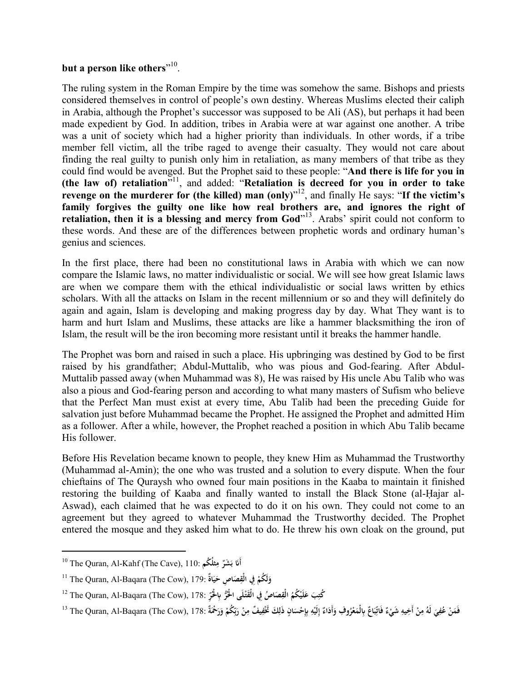## **but a person like others**" 10 .

The ruling system in the Roman Empire by the time was somehow the same. Bishops and priests considered themselves in control of people's own destiny. Whereas Muslims elected their caliph in Arabia, although the Prophet's successor was supposed to be Ali (AS), but perhaps it had been made expedient by God. In addition, tribes in Arabia were at war against one another. A tribe was a unit of society which had a higher priority than individuals. In other words, if a tribe member fell victim, all the tribe raged to avenge their casualty. They would not care about finding the real guilty to punish only him in retaliation, as many members of that tribe as they could find would be avenged. But the Prophet said to these people: "**And there is life for you in (the law of) retaliation**" 11 , and added: "**Retaliation is decreed for you in order to take revenge on the murderer for (the killed) man (only)**" 12 , and finally He says: "**If the victim's family forgives the guilty one like how real brothers are, and ignores the right of retaliation, then it is a blessing and mercy from God**" 13 . Arabs' spirit could not conform to these words. And these are of the differences between prophetic words and ordinary human's genius and sciences.

In the first place, there had been no constitutional laws in Arabia with which we can now compare the Islamic laws, no matter individualistic or social. We will see how great Islamic laws are when we compare them with the ethical individualistic or social laws written by ethics scholars. With all the attacks on Islam in the recent millennium or so and they will definitely do again and again, Islam is developing and making progress day by day. What They want is to harm and hurt Islam and Muslims, these attacks are like a hammer blacksmithing the iron of Islam, the result will be the iron becoming more resistant until it breaks the hammer handle.

The Prophet was born and raised in such a place. His upbringing was destined by God to be first raised by his grandfather; Abdul-Muttalib, who was pious and God-fearing. After Abdul-Muttalib passed away (when Muhammad was 8), He was raised by His uncle Abu Talib who was also a pious and God-fearing person and according to what many masters of Sufism who believe that the Perfect Man must exist at every time, Abu Talib had been the preceding Guide for salvation just before Muhammad became the Prophet. He assigned the Prophet and admitted Him as a follower. After a while, however, the Prophet reached a position in which Abu Talib became His follower.

Before His Revelation became known to people, they knew Him as Muhammad the Trustworthy (Muhammad al-Amin); the one who was trusted and a solution to every dispute. When the four chieftains of The Quraysh who owned four main positions in the Kaaba to maintain it finished restoring the building of Kaaba and finally wanted to install the Black Stone (al-Ḥajar al-Aswad), each claimed that he was expected to do it on his own. They could not come to an agreement but they agreed to whatever Muhammad the Trustworthy decided. The Prophet entered the mosque and they asked him what to do. He threw his own cloak on the ground, put

l

<sup>10</sup> The Quran, Al-Kahf (The Cave), 110: **ِ أَ ثلُ ُكم م ٌ َ َشر َ ب**

<sup>11</sup> The Quran, Al-Baqara (The Cow), 179: **ٌاة ي َصا ِص ح ِفي الْق لَ ُكم و َ َ ِ ْ َ**

كُتِبَ عَلَيْكُمُ الْقِصَاصُ فِي الْقَتْلَى الْحُرُّ بِالْحَرِّ :The Quran, Al-Baqara (The Cow), 178 **ْ ِ ْ َ ِ**

فَمَنْ عُفِيَ لَهُ مِنْ أَخِيهِ شَيْءٌ فَاتِّبَاعٌ بِالْمَعْرُوفِ وَأَدَاءٌ إِلَيْهِ بِإِحْسَانٍ ذَلِكَ تَخْفِيفٌ مِنْ رَبِّكُمْ وَرَحْمَةٌ :178, The Quran, Al-Baqara (The Cow), 178 آ **ِ ب َ ْ ِ ِ ِ َ ِ ْ ِ إ َ َ َ َ ِ ْ ِ ْ ِ َ ِ َ َ ْ**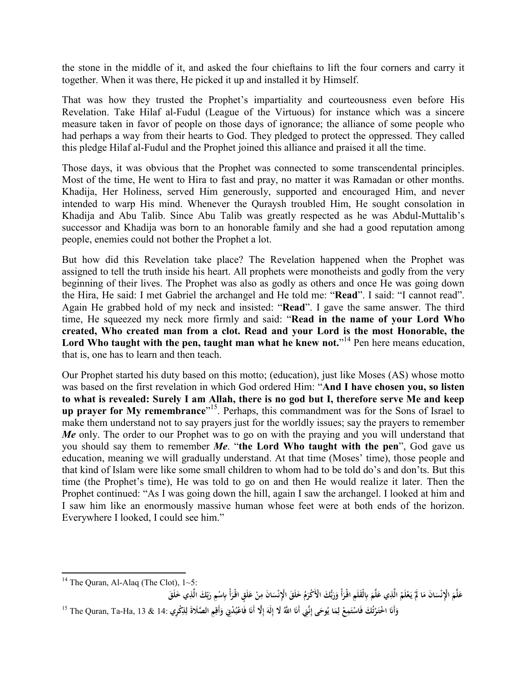the stone in the middle of it, and asked the four chieftains to lift the four corners and carry it together. When it was there, He picked it up and installed it by Himself.

That was how they trusted the Prophet's impartiality and courteousness even before His Revelation. Take Hilaf al-Fudul (League of the Virtuous) for instance which was a sincere measure taken in favor of people on those days of ignorance; the alliance of some people who had perhaps a way from their hearts to God. They pledged to protect the oppressed. They called this pledge Hilaf al-Fudul and the Prophet joined this alliance and praised it all the time.

Those days, it was obvious that the Prophet was connected to some transcendental principles. Most of the time, He went to Hira to fast and pray, no matter it was Ramadan or other months. Khadija, Her Holiness, served Him generously, supported and encouraged Him, and never intended to warp His mind. Whenever the Quraysh troubled Him, He sought consolation in Khadija and Abu Talib. Since Abu Talib was greatly respected as he was Abdul-Muttalib's successor and Khadija was born to an honorable family and she had a good reputation among people, enemies could not bother the Prophet a lot.

But how did this Revelation take place? The Revelation happened when the Prophet was assigned to tell the truth inside his heart. All prophets were monotheists and godly from the very beginning of their lives. The Prophet was also as godly as others and once He was going down the Hira, He said: I met Gabriel the archangel and He told me: "**Read**". I said: "I cannot read". Again He grabbed hold of my neck and insisted: "**Read**". I gave the same answer. The third time, He squeezed my neck more firmly and said: "**Read in the name of your Lord Who created, Who created man from a clot. Read and your Lord is the most Honorable, the Lord Who taught with the pen, taught man what he knew not.**" <sup>14</sup> Pen here means education, that is, one has to learn and then teach.

Our Prophet started his duty based on this motto; (education), just like Moses (AS) whose motto was based on the first revelation in which God ordered Him: "**And I have chosen you, so listen to what is revealed: Surely I am Allah, there is no god but I, therefore serve Me and keep up prayer for My remembrance**" 15 . Perhaps, this commandment was for the Sons of Israel to make them understand not to say prayers just for the worldly issues; say the prayers to remember *Me* only. The order to our Prophet was to go on with the praying and you will understand that you should say them to remember *Me*. "**the Lord Who taught with the pen**", God gave us education, meaning we will gradually understand. At that time (Moses' time), those people and that kind of Islam were like some small children to whom had to be told do's and don'ts. But this time (the Prophet's time), He was told to go on and then He would realize it later. Then the Prophet continued: "As I was going down the hill, again I saw the archangel. I looked at him and I saw him like an enormously massive human whose feet were at both ends of the horizon. Everywhere I looked, I could see him."

**ْ** عَلَّمَ الْإِنْسَانَ مَا لَمْ يَعْلَمْ الَّذِي عَلَّمَ بِالْقَلَمِ اقْرَأْ وَرَبُّكَ الْأَكْرَمُ خَلَقَ الْإِنْسَانَ مِنْ عَلَقٍ اقْرَأْ بِاسْمِ رَبِّكَ الَّذِي خَلَقَ **ْ َ ْ َ َ ن َ َ َ َ َ َ َ َ َ ِ َ ن ِ ب َ ْ َ** وَأَنَا اخْتَرْتُكَ فَاسْتَمِعْ لِمَا يُوحَى إِنَّنِي أَنَا اللَّهُ لَا إِلَهَ إِلَّا أَنَا فَاعْبُدْنِي وَأَقِمِ الصَّلَاةَ لِلنِّكْرِي :14 & 14, The Quran, Ta-Ha, 13 & 14 **ِ ِ َ ْ َ إ َ ِ َ ِ إ َ ِ ل ْ ْ ت ْ ا َ َ َ**

 $\overline{a}$ <sup>14</sup> The Quran, Al-Alaq (The Clot),  $1~5$ :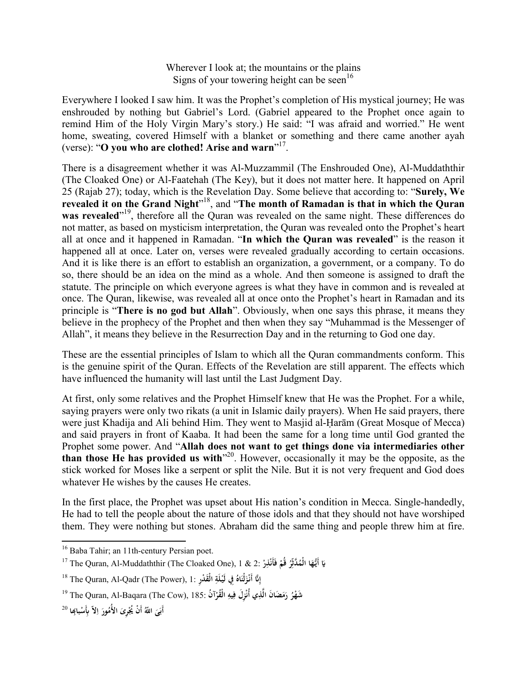Wherever I look at; the mountains or the plains Signs of your towering height can be seen<sup>16</sup>

Everywhere I looked I saw him. It was the Prophet's completion of His mystical journey; He was enshrouded by nothing but Gabriel's Lord. (Gabriel appeared to the Prophet once again to remind Him of the Holy Virgin Mary's story.) He said: "I was afraid and worried." He went home, sweating, covered Himself with a blanket or something and there came another ayah (verse): "**O you who are clothed! Arise and warn**" 17 .

There is a disagreement whether it was Al-Muzzammil (The Enshrouded One), Al-Muddaththir (The Cloaked One) or Al-Faatehah (The Key), but it does not matter here. It happened on April 25 (Rajab 27); today, which is the Revelation Day. Some believe that according to: "**Surely, We revealed it on the Grand Night**" 18 , and "**The month of Ramadan is that in which the Quran**  was revealed<sup>"19</sup>, therefore all the Quran was revealed on the same night. These differences do not matter, as based on mysticism interpretation, the Quran was revealed onto the Prophet's heart all at once and it happened in Ramadan. "**In which the Quran was revealed**" is the reason it happened all at once. Later on, verses were revealed gradually according to certain occasions. And it is like there is an effort to establish an organization, a government, or a company. To do so, there should be an idea on the mind as a whole. And then someone is assigned to draft the statute. The principle on which everyone agrees is what they have in common and is revealed at once. The Quran, likewise, was revealed all at once onto the Prophet's heart in Ramadan and its principle is "**There is no god but Allah**". Obviously, when one says this phrase, it means they believe in the prophecy of the Prophet and then when they say "Muhammad is the Messenger of Allah", it means they believe in the Resurrection Day and in the returning to God one day.

These are the essential principles of Islam to which all the Quran commandments conform. This is the genuine spirit of the Quran. Effects of the Revelation are still apparent. The effects which have influenced the humanity will last until the Last Judgment Day.

At first, only some relatives and the Prophet Himself knew that He was the Prophet. For a while, saying prayers were only two rikats (a unit in Islamic daily prayers). When He said prayers, there were just Khadija and Ali behind Him. They went to Masjid al-Ḥarām (Great Mosque of Mecca) and said prayers in front of Kaaba. It had been the same for a long time until God granted the Prophet some power. And "**Allah does not want to get things done via intermediaries other than those He has provided us with**" 20 . However, occasionally it may be the opposite, as the stick worked for Moses like a serpent or split the Nile. But it is not very frequent and God does whatever He wishes by the causes He creates.

In the first place, the Prophet was upset about His nation's condition in Mecca. Single-handedly, He had to tell the people about the nature of those idols and that they should not have worshiped them. They were nothing but stones. Abraham did the same thing and people threw him at fire.

l

<sup>&</sup>lt;sup>16</sup> Baba Tahir; an 11th-century Persian poet.

<sup>17</sup> The Quran, Al-Muddaththir (The Cloaked One), 1 & 2: **ر ْذِ فَأَن قُم ُ ر َّدثّ ُ ا الْم أَيُّـه ْ ْ ِ َ َ**

<sup>18</sup> The Quran, Al-Qadr (The Power), 1: **رِدْ َق ِ الْ لَة ِفي لَيـ ُ اه لْن ْز َّ أَنـ ْ َ َ ِ إ**

شَهْرُ رَمَضَانَ الَّذِي أُنْزِلَ فِيهِ الْقُرْآنُ :185 The Quran, Al-Baqara (The Cow), 185 <sup>و</sup>! **ْ ْ َ**

أَبَىَ اللَّهُ أَنْ يُجْرِىَ الأُمُورَ اِلاّ بِأَسْبابِحا <sup>20</sup> **َ َ َ ِ ِ ا َ**